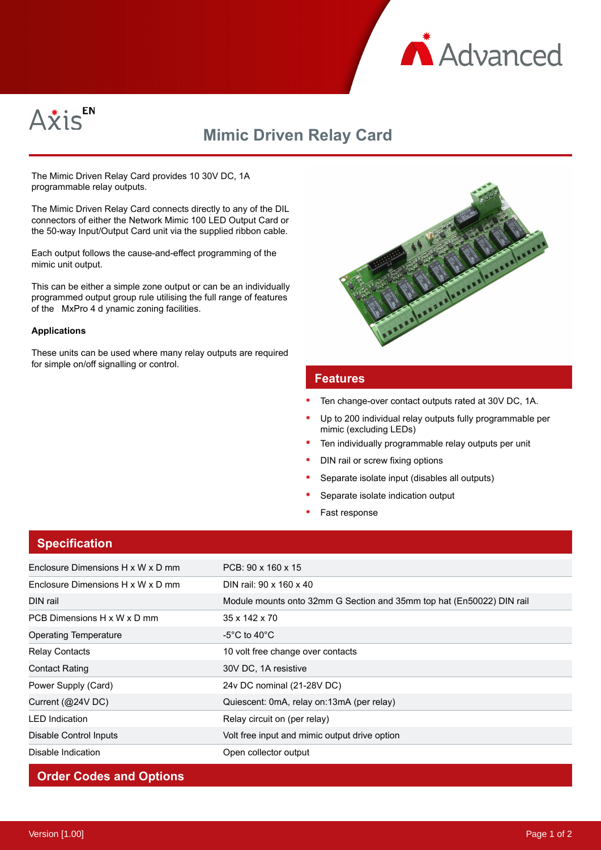



# **Mimic Driven Relay Card**

The Mimic Driven Relay Card provides 10 30V DC, 1A programmable relay outputs.

The Mimic Driven Relay Card connects directly to any of the DIL connectors of either the Network Mimic 100 LED Output Card or the 50-way Input/Output Card unit via the supplied ribbon cable.

Each output follows the cause-and-effect programming of the mimic unit output.

This can be either a simple zone output or can be an individually programmed output group rule utilising the full range of features of the MxPro 4 d ynamic zoning facilities.

#### **Applications**

**Specification**

These units can be used where many relay outputs are required for simple on/off signalling or control.



### **Features**

- Ten change-over contact outputs rated at 30V DC, 1A.
- Up to 200 individual relay outputs fully programmable per mimic (excluding LEDs)
- Ten individually programmable relay outputs per unit
- DIN rail or screw fixing options
- Separate isolate input (disables all outputs)
- Separate isolate indication output
- Fast response

| <b>OPECHICATION</b>               |                                                                       |
|-----------------------------------|-----------------------------------------------------------------------|
| Enclosure Dimensions H x W x D mm | $PCB: 90 \times 160 \times 15$                                        |
| Enclosure Dimensions H x W x D mm | DIN rail: 90 x 160 x 40                                               |
| DIN rail                          | Module mounts onto 32mm G Section and 35mm top hat (En50022) DIN rail |
| PCB Dimensions H x W x D mm       | 35 x 142 x 70                                                         |
| <b>Operating Temperature</b>      | -5°C to 40°C.                                                         |
| <b>Relay Contacts</b>             | 10 volt free change over contacts                                     |
| <b>Contact Rating</b>             | 30V DC, 1A resistive                                                  |
| Power Supply (Card)               | 24v DC nominal (21-28V DC)                                            |
| Current (@24V DC)                 | Quiescent: 0mA, relay on:13mA (per relay)                             |
| <b>LED</b> Indication             | Relay circuit on (per relay)                                          |
| Disable Control Inputs            | Volt free input and mimic output drive option                         |
| Disable Indication                | Open collector output                                                 |

## **Order Codes and Options**